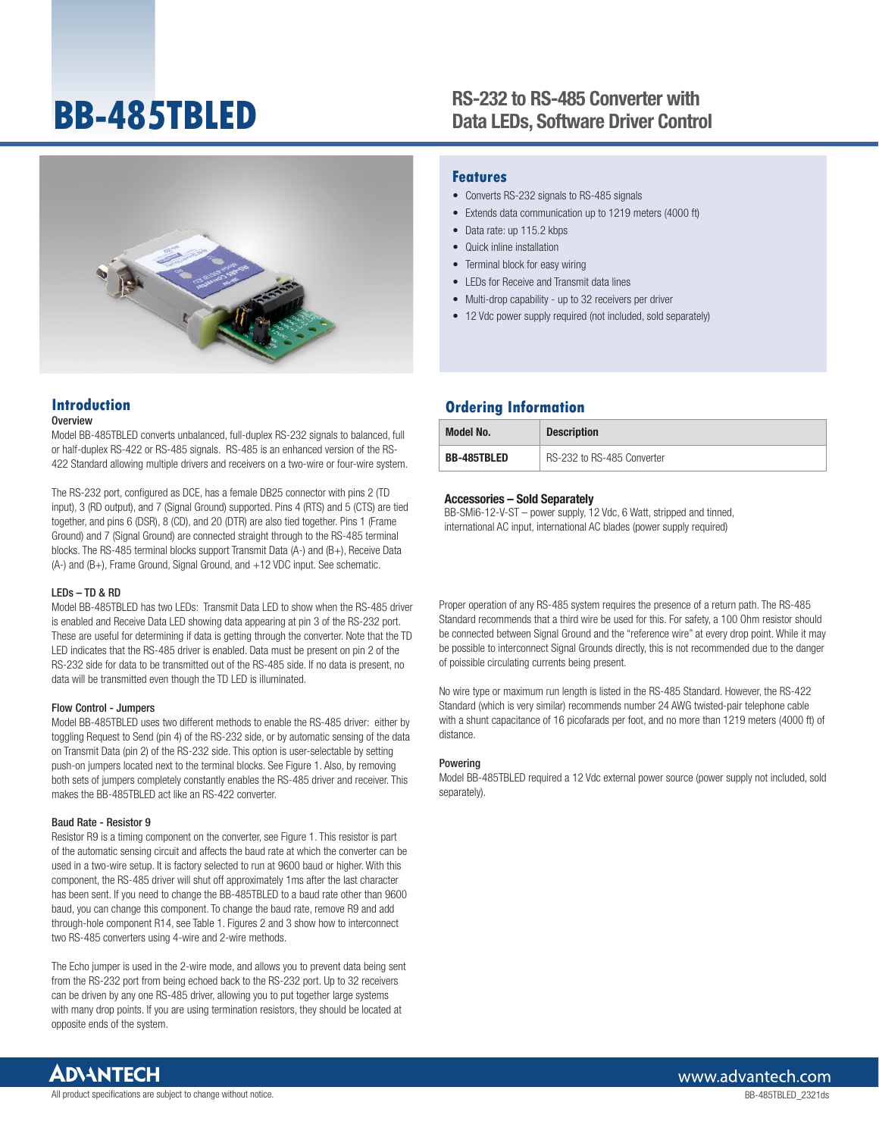# **BB-485TBLED**

# RS-232 to RS-485 Converter with Data LEDs, Software Driver Control



## **Introduction**

#### Overview

Model BB-485TBLED converts unbalanced, full-duplex RS-232 signals to balanced, full or half-duplex RS-422 or RS-485 signals. RS-485 is an enhanced version of the RS-422 Standard allowing multiple drivers and receivers on a two-wire or four-wire system.

The RS-232 port, configured as DCE, has a female DB25 connector with pins 2 (TD input), 3 (RD output), and 7 (Signal Ground) supported. Pins 4 (RTS) and 5 (CTS) are tied together, and pins 6 (DSR), 8 (CD), and 20 (DTR) are also tied together. Pins 1 (Frame Ground) and 7 (Signal Ground) are connected straight through to the RS-485 terminal blocks. The RS-485 terminal blocks support Transmit Data (A-) and (B+), Receive Data (A-) and (B+), Frame Ground, Signal Ground, and +12 VDC input. See schematic.

#### LEDs – TD & RD

Model BB-485TBLED has two LEDs: Transmit Data LED to show when the RS-485 driver is enabled and Receive Data LED showing data appearing at pin 3 of the RS-232 port. These are useful for determining if data is getting through the converter. Note that the TD LED indicates that the RS-485 driver is enabled. Data must be present on pin 2 of the RS-232 side for data to be transmitted out of the RS-485 side. If no data is present, no data will be transmitted even though the TD LED is illuminated.

#### Flow Control - Jumpers

Model BB-485TBLED uses two different methods to enable the RS-485 driver: either by toggling Request to Send (pin 4) of the RS-232 side, or by automatic sensing of the data on Transmit Data (pin 2) of the RS-232 side. This option is user-selectable by setting push-on jumpers located next to the terminal blocks. See Figure 1. Also, by removing both sets of jumpers completely constantly enables the RS-485 driver and receiver. This makes the BB-485TBLED act like an BS-422 converter.

#### Baud Rate - Resistor 9

Resistor R9 is a timing component on the converter, see Figure 1. This resistor is part of the automatic sensing circuit and affects the baud rate at which the converter can be used in a two-wire setup. It is factory selected to run at 9600 baud or higher. With this component, the RS-485 driver will shut off approximately 1ms after the last character has been sent. If you need to change the BB-485TBLED to a baud rate other than 9600 baud, you can change this component. To change the baud rate, remove R9 and add through-hole component R14, see Table 1. Figures 2 and 3 show how to interconnect two RS-485 converters using 4-wire and 2-wire methods.

The Echo jumper is used in the 2-wire mode, and allows you to prevent data being sent from the RS-232 port from being echoed back to the RS-232 port. Up to 32 receivers can be driven by any one RS-485 driver, allowing you to put together large systems with many drop points. If you are using termination resistors, they should be located at opposite ends of the system.

### **Features**

- Converts RS-232 signals to RS-485 signals
- Extends data communication up to 1219 meters (4000 ft)
- Data rate: up 115.2 kbps
- Quick inline installation
- Terminal block for easy wiring
- LEDs for Receive and Transmit data lines
- Multi-drop capability up to 32 receivers per driver
- 12 Vdc power supply required (not included, sold separately)

## **Ordering Information**

| <b>Model No.</b>   | <b>Description</b>         |
|--------------------|----------------------------|
| <b>BB-485TBLED</b> | RS-232 to RS-485 Converter |

#### Accessories – Sold Separately

BB-SMi6-12-V-ST – power supply, 12 Vdc, 6 Watt, stripped and tinned, international AC input, international AC blades (power supply required)

Proper operation of any RS-485 system requires the presence of a return path. The RS-485 Standard recommends that a third wire be used for this. For safety, a 100 Ohm resistor should be connected between Signal Ground and the "reference wire" at every drop point. While it may be possible to interconnect Signal Grounds directly, this is not recommended due to the danger of poissible circulating currents being present.

No wire type or maximum run length is listed in the RS-485 Standard. However, the RS-422 Standard (which is very similar) recommends number 24 AWG twisted-pair telephone cable with a shunt capacitance of 16 picofarads per foot, and no more than 1219 meters (4000 ft) of distance.

#### Powering

Model BB-485TBLED required a 12 Vdc external power source (power supply not included, sold separately).

**AD\4NTECH**